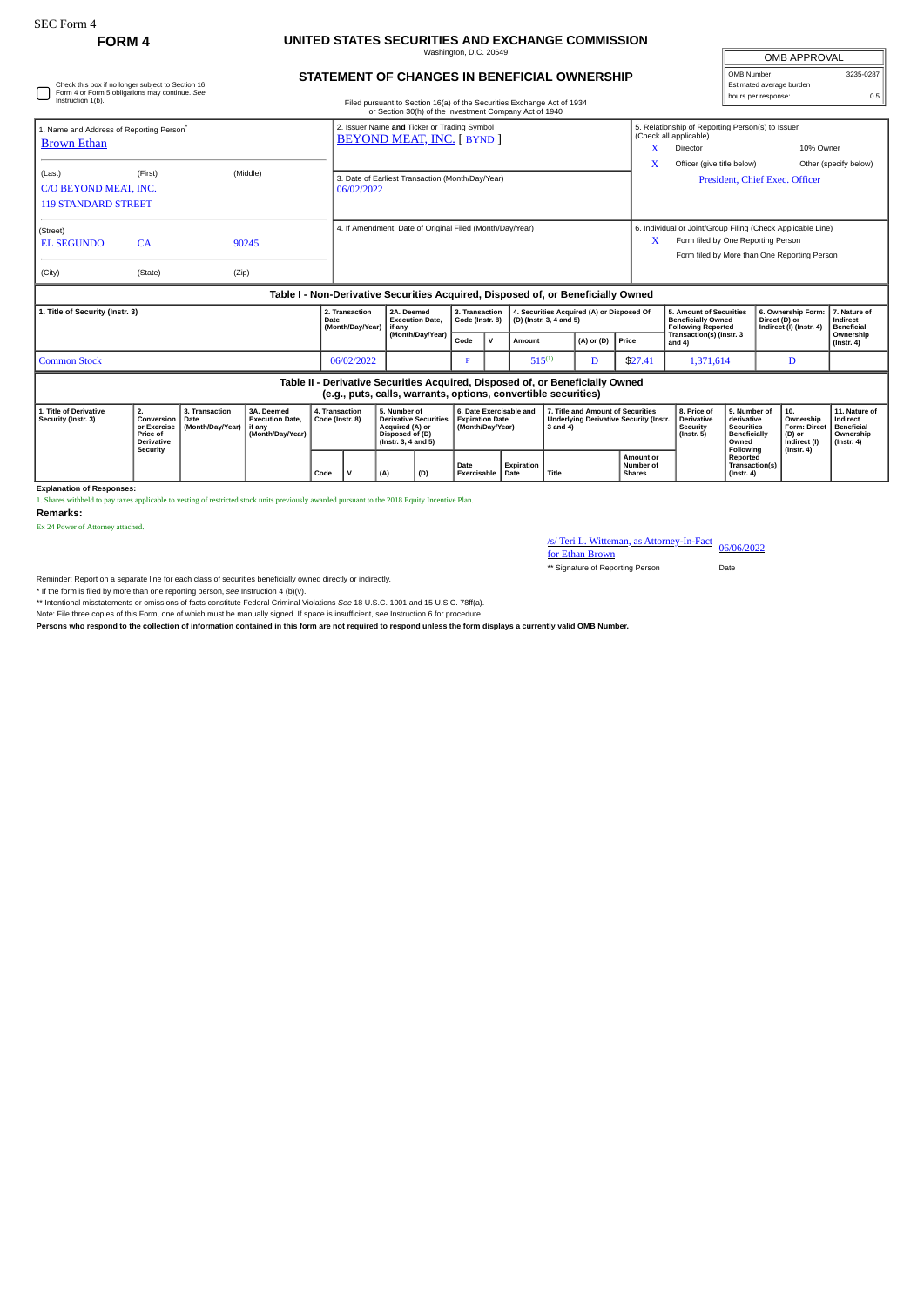## **FORM 4 UNITED STATES SECURITIES AND EXCHANGE COMMISSION** Washington, D.C. 20549

**STATEMENT OF CHANGES IN BENEFICIAL OWNERSHIP**

| <b>OMB APPROVAL</b>      |           |  |  |  |  |  |  |  |
|--------------------------|-----------|--|--|--|--|--|--|--|
| OMB Number:              | 3235-0287 |  |  |  |  |  |  |  |
| Estimated average burden |           |  |  |  |  |  |  |  |
| hours per response:      | 0.5       |  |  |  |  |  |  |  |

| Check this box if no longer subject to Section 16.<br>Form 4 or Form 5 obligations may continue. See<br>Instruction 1(b).<br>Filed pursuant to Section 16(a) of the Securities Exchange Act of 1934<br>or Section 30(h) of the Investment Company Act of 1940 |                                                                              |                                            |                                                                                  |                                   |                                                                                  |                                                                                                           |                                                |                                                                       |                                   |                          |                                                                                                     |                                                                                       | Estimated average burden<br>hours per response:<br>0.5                                                                                            |                                                                                   |                                                                                              |                                                                                |  |                                                                                |
|---------------------------------------------------------------------------------------------------------------------------------------------------------------------------------------------------------------------------------------------------------------|------------------------------------------------------------------------------|--------------------------------------------|----------------------------------------------------------------------------------|-----------------------------------|----------------------------------------------------------------------------------|-----------------------------------------------------------------------------------------------------------|------------------------------------------------|-----------------------------------------------------------------------|-----------------------------------|--------------------------|-----------------------------------------------------------------------------------------------------|---------------------------------------------------------------------------------------|---------------------------------------------------------------------------------------------------------------------------------------------------|-----------------------------------------------------------------------------------|----------------------------------------------------------------------------------------------|--------------------------------------------------------------------------------|--|--------------------------------------------------------------------------------|
| 1. Name and Address of Reporting Person <sup>®</sup><br><b>Brown Ethan</b>                                                                                                                                                                                    |                                                                              |                                            |                                                                                  |                                   | 2. Issuer Name and Ticker or Trading Symbol<br><b>BEYOND MEAT, INC. [ BYND ]</b> |                                                                                                           |                                                |                                                                       |                                   |                          |                                                                                                     |                                                                                       | 5. Relationship of Reporting Person(s) to Issuer<br>(Check all applicable)<br>10% Owner<br>Director                                               |                                                                                   |                                                                                              |                                                                                |  |                                                                                |
| (Last)<br>C/O BEYOND MEAT, INC.<br><b>119 STANDARD STREET</b>                                                                                                                                                                                                 | (First)                                                                      |                                            | (Middle)                                                                         |                                   | 3. Date of Earliest Transaction (Month/Day/Year)<br>06/02/2022                   |                                                                                                           |                                                |                                                                       |                                   |                          | X                                                                                                   | Officer (give title below)<br>Other (specify below)<br>President, Chief Exec. Officer |                                                                                                                                                   |                                                                                   |                                                                                              |                                                                                |  |                                                                                |
| (Street)<br><b>EL SEGUNDO</b><br>(City)                                                                                                                                                                                                                       | CA<br>(State)                                                                | (Zip)                                      | 90245                                                                            |                                   | 4. If Amendment, Date of Original Filed (Month/Day/Year)                         |                                                                                                           |                                                |                                                                       |                                   |                          |                                                                                                     | X                                                                                     | 6. Individual or Joint/Group Filing (Check Applicable Line)<br>Form filed by One Reporting Person<br>Form filed by More than One Reporting Person |                                                                                   |                                                                                              |                                                                                |  |                                                                                |
|                                                                                                                                                                                                                                                               |                                                                              |                                            | Table I - Non-Derivative Securities Acquired, Disposed of, or Beneficially Owned |                                   |                                                                                  |                                                                                                           |                                                |                                                                       |                                   |                          |                                                                                                     |                                                                                       |                                                                                                                                                   |                                                                                   |                                                                                              |                                                                                |  |                                                                                |
| 1. Title of Security (Instr. 3)                                                                                                                                                                                                                               |                                                                              |                                            |                                                                                  | Date                              | 2. Transaction<br>(Month/Day/Year)                                               |                                                                                                           | 2A. Deemed<br><b>Execution Date.</b><br>if anv |                                                                       | 3. Transaction<br>Code (Instr. 8) |                          | 4. Securities Acquired (A) or Disposed Of<br>(D) (Instr. 3, 4 and 5)                                |                                                                                       |                                                                                                                                                   | 5. Amount of Securities<br><b>Beneficially Owned</b><br><b>Following Reported</b> |                                                                                              | 6. Ownership Form:<br>Direct (D) or<br>Indirect (I) (Instr. 4)                 |  | 7. Nature of<br>Indirect<br><b>Beneficial</b><br>Ownership<br>$($ lnstr. 4 $)$ |
|                                                                                                                                                                                                                                                               |                                                                              |                                            |                                                                                  |                                   |                                                                                  |                                                                                                           | (Month/Day/Year)                               |                                                                       | $\mathsf{v}$                      | $(A)$ or $(D)$<br>Amount |                                                                                                     | Price                                                                                 | <b>Transaction(s) (Instr. 3</b><br>and $4$ )                                                                                                      |                                                                                   |                                                                                              |                                                                                |  |                                                                                |
| <b>Common Stock</b>                                                                                                                                                                                                                                           |                                                                              |                                            |                                                                                  |                                   |                                                                                  | 06/02/2022                                                                                                |                                                | F                                                                     |                                   | $515^{(1)}$<br>D         |                                                                                                     | \$27.41                                                                               | 1.371.614                                                                                                                                         |                                                                                   | D                                                                                            |                                                                                |  |                                                                                |
|                                                                                                                                                                                                                                                               |                                                                              |                                            |                                                                                  |                                   |                                                                                  | (e.g., puts, calls, warrants, options, convertible securities)                                            |                                                |                                                                       |                                   |                          |                                                                                                     | Table II - Derivative Securities Acquired, Disposed of, or Beneficially Owned         |                                                                                                                                                   |                                                                                   |                                                                                              |                                                                                |  |                                                                                |
| 1. Title of Derivative<br>Security (Instr. 3)                                                                                                                                                                                                                 | 2.<br>Conversion<br>or Exercise<br>Price of<br><b>Derivative</b><br>Security | 3. Transaction<br>Date<br>(Month/Day/Year) | 3A. Deemed<br><b>Execution Date,</b><br>if any<br>(Month/Day/Year)               | 4. Transaction<br>Code (Instr. 8) |                                                                                  | 5. Number of<br><b>Derivative Securities</b><br>Acquired (A) or<br>Disposed of (D)<br>(Instr. 3, 4 and 5) |                                                | 6. Date Exercisable and<br><b>Expiration Date</b><br>(Month/Day/Year) |                                   |                          | 7. Title and Amount of Securities<br><b>Underlying Derivative Security (Instr.</b><br>$3$ and $4$ ) |                                                                                       |                                                                                                                                                   | 8. Price of<br><b>Derivative</b><br>Security<br>$($ Instr. 5 $)$                  | 9. Number of<br>derivative<br><b>Securities</b><br><b>Beneficially</b><br>Owned<br>Following | 10.<br>Ownership<br>Form: Direct<br>(D) or<br>Indirect (I)<br>$($ Instr. 4 $)$ |  | 11. Nature of<br>Indirect<br>Beneficial<br>Ownership<br>$($ Instr. 4 $)$       |
|                                                                                                                                                                                                                                                               |                                                                              |                                            |                                                                                  |                                   | $\mathbf v$<br>(D)<br>(A)                                                        |                                                                                                           |                                                | Expiration<br>Date<br>Exercisable   Date                              |                                   |                          | Title<br><b>Shares</b>                                                                              |                                                                                       | <b>Amount or</b><br>Number of                                                                                                                     | Reported<br>$($ Instr. 4 $)$                                                      |                                                                                              | Transaction(s)                                                                 |  |                                                                                |

**Explanation of Responses:**

1. Shares withheld to pay taxes applicable to vesting of restricted stock units previously awarded pursuant to the 2018 Equity Incentive Plan.

**Remarks:**

Ex 24 Power of Attorney attached.

## /s/ Teri L. Witteman, as Attorney-In-Fact<br>for Ethan Brown

\*\* Signature of Reporting Person Date

Reminder: Report on a separate line for each class of securities beneficially owned directly or indirectly.

\* If the form is filed by more than one reporting person, *see* Instruction 4 (b)(v).

\*\* Intentional misstatements or omissions of facts constitute Federal Criminal Violations *See* 18 U.S.C. 1001 and 15 U.S.C. 78ff(a).

Note: File three copies of this Form, one of which must be manually signed. If space is insufficient, *see* Instruction 6 for procedure.

**Persons who respond to the collection of information contained in this form are not required to respond unless the form displays a currently valid OMB Number.**